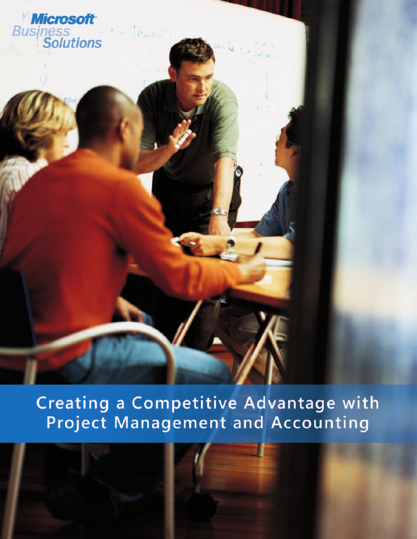

Creating a Competitive Advantage with **Project Management and Accounting**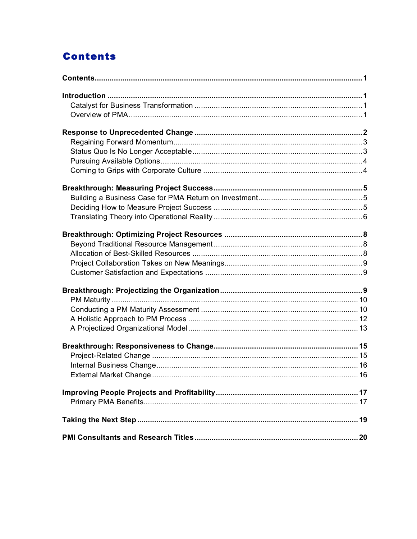# **Contents**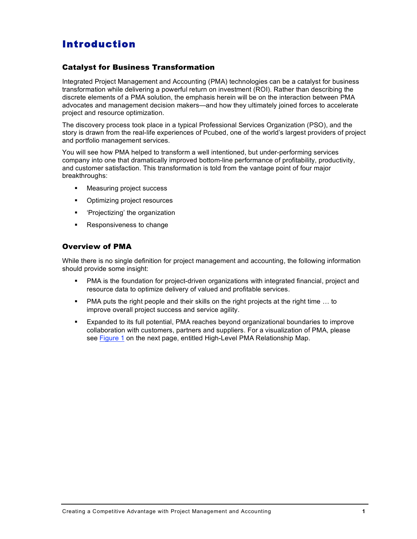## Introduction

### Catalyst for Business Transformation

Integrated Project Management and Accounting (PMA) technologies can be a catalyst for business transformation while delivering a powerful return on investment (ROI). Rather than describing the discrete elements of a PMA solution, the emphasis herein will be on the interaction between PMA advocates and management decision makers—and how they ultimately joined forces to accelerate project and resource optimization.

The discovery process took place in a typical Professional Services Organization (PSO), and the story is drawn from the real-life experiences of Pcubed, one of the world's largest providers of project and portfolio management services.

You will see how PMA helped to transform a well intentioned, but under-performing services company into one that dramatically improved bottom-line performance of profitability, productivity, and customer satisfaction. This transformation is told from the vantage point of four major breakthroughs:

- **EXECUTE:** Measuring project success
- Optimizing project resources
- **•** 'Projectizing' the organization
- Responsiveness to change

### Overview of PMA

While there is no single definition for project management and accounting, the following information should provide some insight:

- PMA is the foundation for project-driven organizations with integrated financial, project and resource data to optimize delivery of valued and profitable services.
- **•** PMA puts the right people and their skills on the right projects at the right time ... to improve overall project success and service agility.
- **Expanded to its full potential, PMA reaches beyond organizational boundaries to improve** collaboration with customers, partners and suppliers. For a visualization of PMA, please see Figure 1 on the next page, entitled High-Level PMA Relationship Map.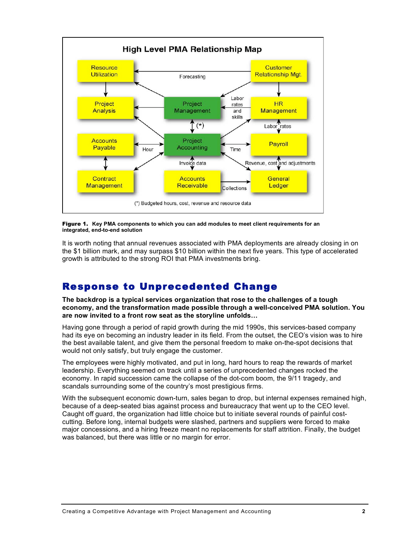



It is worth noting that annual revenues associated with PMA deployments are already closing in on the \$1 billion mark, and may surpass \$10 billion within the next five years. This type of accelerated growth is attributed to the strong ROI that PMA investments bring.

## Response to Unprecedented Change

**The backdrop is a typical services organization that rose to the challenges of a tough economy, and the transformation made possible through a well-conceived PMA solution. You are now invited to a front row seat as the storyline unfolds…**

Having gone through a period of rapid growth during the mid 1990s, this services-based company had its eye on becoming an industry leader in its field. From the outset, the CEO's vision was to hire the best available talent, and give them the personal freedom to make on-the-spot decisions that would not only satisfy, but truly engage the customer.

The employees were highly motivated, and put in long, hard hours to reap the rewards of market leadership. Everything seemed on track until a series of unprecedented changes rocked the economy. In rapid succession came the collapse of the dot-com boom, the 9/11 tragedy, and scandals surrounding some of the country's most prestigious firms.

With the subsequent economic down-turn, sales began to drop, but internal expenses remained high, because of a deep-seated bias against process and bureaucracy that went up to the CEO level. Caught off guard, the organization had little choice but to initiate several rounds of painful costcutting. Before long, internal budgets were slashed, partners and suppliers were forced to make major concessions, and a hiring freeze meant no replacements for staff attrition. Finally, the budget was balanced, but there was little or no margin for error.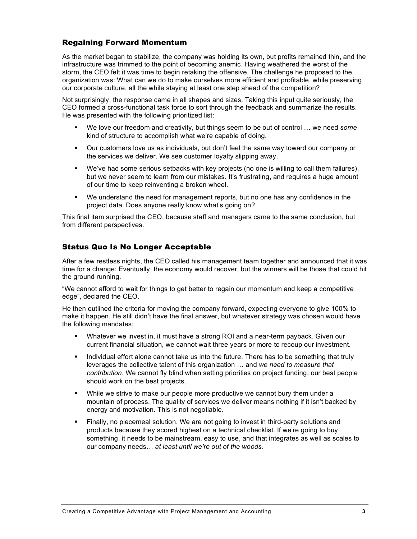## Regaining Forward Momentum

As the market began to stabilize, the company was holding its own, but profits remained thin, and the infrastructure was trimmed to the point of becoming anemic. Having weathered the worst of the storm, the CEO felt it was time to begin retaking the offensive. The challenge he proposed to the organization was: What can we do to make ourselves more efficient and profitable, while preserving our corporate culture, all the while staying at least one step ahead of the competition?

Not surprisingly, the response came in all shapes and sizes. Taking this input quite seriously, the CEO formed a cross-functional task force to sort through the feedback and summarize the results. He was presented with the following prioritized list:

- ß We love our freedom and creativity, but things seem to be out of control … we need *some* kind of structure to accomplish what we're capable of doing.
- **•** Our customers love us as individuals, but don't feel the same way toward our company or the services we deliver. We see customer loyalty slipping away.
- ß We've had some serious setbacks with key projects (no one is willing to call them failures), but we never seem to learn from our mistakes. It's frustrating, and requires a huge amount of our time to keep reinventing a broken wheel.
- We understand the need for management reports, but no one has any confidence in the project data. Does anyone really know what's going on?

This final item surprised the CEO, because staff and managers came to the same conclusion, but from different perspectives.

## Status Quo Is No Longer Acceptable

After a few restless nights, the CEO called his management team together and announced that it was time for a change: Eventually, the economy would recover, but the winners will be those that could hit the ground running.

"We cannot afford to wait for things to get better to regain our momentum and keep a competitive edge", declared the CEO.

He then outlined the criteria for moving the company forward, expecting everyone to give 100% to make it happen. He still didn't have the final answer, but whatever strategy was chosen would have the following mandates:

- **Whatever we invest in, it must have a strong ROI and a near-term payback. Given our** current financial situation, we cannot wait three years or more to recoup our investment.
- **IDED IN** Individual effort alone cannot take us into the future. There has to be something that truly leverages the collective talent of this organization … and *we need to measure that contribution*. We cannot fly blind when setting priorities on project funding; our best people should work on the best projects.
- While we strive to make our people more productive we cannot bury them under a mountain of process. The quality of services we deliver means nothing if it isn't backed by energy and motivation. This is not negotiable.
- Finally, no piecemeal solution. We are not going to invest in third-party solutions and products because they scored highest on a technical checklist. If we're going to buy something, it needs to be mainstream, easy to use, and that integrates as well as scales to our company needs… *at least until we're out of the woods.*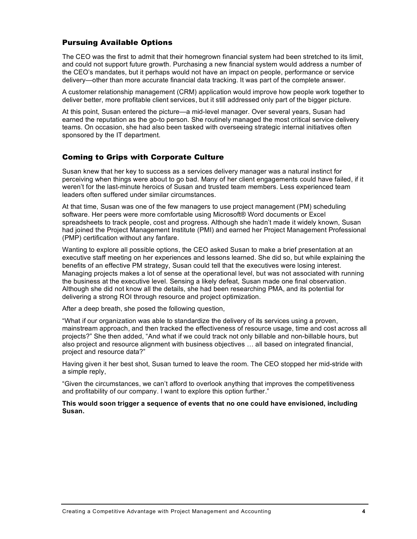### Pursuing Available Options

The CEO was the first to admit that their homegrown financial system had been stretched to its limit, and could not support future growth. Purchasing a new financial system would address a number of the CEO's mandates, but it perhaps would not have an impact on people, performance or service delivery—other than more accurate financial data tracking. It was part of the complete answer.

A customer relationship management (CRM) application would improve how people work together to deliver better, more profitable client services, but it still addressed only part of the bigger picture.

At this point, Susan entered the picture—a mid-level manager. Over several years, Susan had earned the reputation as the go-to person. She routinely managed the most critical service delivery teams. On occasion, she had also been tasked with overseeing strategic internal initiatives often sponsored by the IT department.

## Coming to Grips with Corporate Culture

Susan knew that her key to success as a services delivery manager was a natural instinct for perceiving when things were about to go bad. Many of her client engagements could have failed, if it weren't for the last-minute heroics of Susan and trusted team members. Less experienced team leaders often suffered under similar circumstances.

At that time, Susan was one of the few managers to use project management (PM) scheduling software. Her peers were more comfortable using Microsoft® Word documents or Excel spreadsheets to track people, cost and progress. Although she hadn't made it widely known, Susan had joined the Project Management Institute (PMI) and earned her Project Management Professional (PMP) certification without any fanfare.

Wanting to explore all possible options, the CEO asked Susan to make a brief presentation at an executive staff meeting on her experiences and lessons learned. She did so, but while explaining the benefits of an effective PM strategy, Susan could tell that the executives were losing interest. Managing projects makes a lot of sense at the operational level, but was not associated with running the business at the executive level. Sensing a likely defeat, Susan made one final observation. Although she did not know all the details, she had been researching PMA, and its potential for delivering a strong ROI through resource and project optimization.

After a deep breath, she posed the following question,

"What if our organization was able to standardize the delivery of its services using a proven, mainstream approach, and then tracked the effectiveness of resource usage, time and cost across all projects?" She then added, "And what if we could track not only billable and non-billable hours, but also project and resource alignment with business objectives … all based on integrated financial, project and resource data?"

Having given it her best shot, Susan turned to leave the room. The CEO stopped her mid-stride with a simple reply,

"Given the circumstances, we can't afford to overlook anything that improves the competitiveness and profitability of our company. I want to explore this option further."

**This would soon trigger a sequence of events that no one could have envisioned, including Susan.**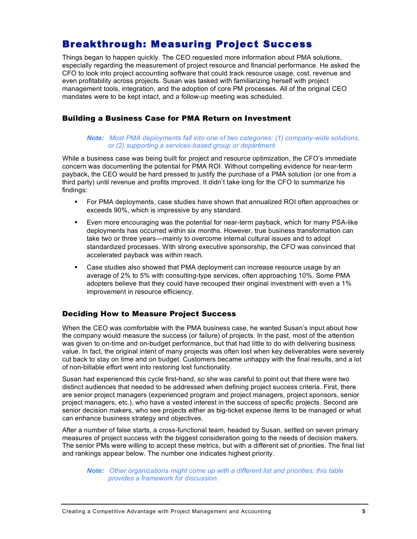## Breakthrough: Measuring Project Success

Things began to happen quickly. The CEO requested more information about PMA solutions, especially regarding the measurement of project resource and financial performance. He asked the CFO to look into project accounting software that could track resource usage, cost, revenue and even profitability across projects. Susan was tasked with familiarizing herself with project management tools, integration, and the adoption of core PM processes. All of the original CEO mandates were to be kept intact, and a follow-up meeting was scheduled.

### Building a Business Case for PMA Return on Investment

### *Note: Most PMA deployments fall into one of two categories: (1) company-wide solutions, or (2) supporting a services-based group or department*

While a business case was being built for project and resource optimization, the CFO's immediate concern was documenting the potential for PMA ROI. Without compelling evidence for near-term payback, the CEO would be hard pressed to justify the purchase of a PMA solution (or one from a third party) until revenue and profits improved. It didn't take long for the CFO to summarize his findings:

- **For PMA deployments, case studies have shown that annualized ROI often approaches or** exceeds 90%, which is impressive by any standard.
- **Even more encouraging was the potential for near-term payback, which for many PSA-like** deployments has occurred within six months. However, true business transformation can take two or three years—mainly to overcome internal cultural issues and to adopt standardized processes. With strong executive sponsorship, the CFO was convinced that accelerated payback was within reach.
- Case studies also showed that PMA deployment can increase resource usage by an average of 2% to 5% with consulting-type services, often approaching 10%. Some PMA adopters believe that they could have recouped their original investment with even a 1% improvement in resource efficiency.

## Deciding How to Measure Project Success

When the CEO was comfortable with the PMA business case, he wanted Susan's input about how the company would measure the success (or failure) of projects. In the past, most of the attention was given to on-time and on-budget performance, but that had little to do with delivering business value. In fact, the original intent of many projects was often lost when key deliverables were severely cut back to stay on time and on budget. Customers became unhappy with the final results, and a lot of non-billable effort went into restoring lost functionality.

Susan had experienced this cycle first-hand, so she was careful to point out that there were two distinct audiences that needed to be addressed when defining project success criteria. First, there are senior project managers (experienced program and project managers, project sponsors, senior project managers, etc.), who have a vested interest in the success of specific projects. Second are senior decision makers, who see projects either as big-ticket expense items to be managed or what can enhance business strategy and objectives.

After a number of false starts, a cross-functional team, headed by Susan, settled on seven primary measures of project success with the biggest consideration going to the needs of decision makers. The senior PMs were willing to accept these metrics, but with a different set of priorities. The final list and rankings appear below. The number one indicates highest priority.

*Note: Other organizations might come up with a different list and priorities; this table provides a framework for discussion.*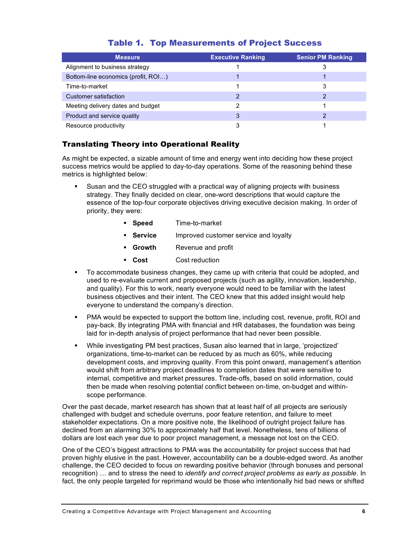| <b>Measure</b>                      | <b>Executive Ranking</b> | <b>Senior PM Ranking</b> |
|-------------------------------------|--------------------------|--------------------------|
| Alignment to business strategy      |                          |                          |
| Bottom-line economics (profit, ROI) |                          |                          |
| Time-to-market                      |                          | 3                        |
| Customer satisfaction               |                          |                          |
| Meeting delivery dates and budget   |                          |                          |
| Product and service quality         | 3                        |                          |
| Resource productivity               |                          |                          |

## Translating Theory into Operational Reality

As might be expected, a sizable amount of time and energy went into deciding how these project success metrics would be applied to day-to-day operations. Some of the reasoning behind these metrics is highlighted below:

- ß Susan and the CEO struggled with a practical way of aligning projects with business strategy. They finally decided on clear, one-word descriptions that would capture the essence of the top-four corporate objectives driving executive decision making. In order of priority, they were:
	- ß **Speed** Time-to-market
	- **Service Improved customer service and loyalty**
	- **Growth** Revenue and profit
	- ß **Cost** Cost reduction
- To accommodate business changes, they came up with criteria that could be adopted, and used to re-evaluate current and proposed projects (such as agility, innovation, leadership, and quality). For this to work, nearly everyone would need to be familiar with the latest business objectives and their intent. The CEO knew that this added insight would help everyone to understand the company's direction.
- **PMA would be expected to support the bottom line, including cost, revenue, profit, ROI and** pay-back. By integrating PMA with financial and HR databases, the foundation was being laid for in-depth analysis of project performance that had never been possible.
- While investigating PM best practices, Susan also learned that in large, 'projectized' organizations, time-to-market can be reduced by as much as 60%, while reducing development costs, and improving quality. From this point onward, management's attention would shift from arbitrary project deadlines to completion dates that were sensitive to internal, competitive and market pressures. Trade-offs, based on solid information, could then be made when resolving potential conflict between on-time, on-budget and withinscope performance.

Over the past decade, market research has shown that at least half of all projects are seriously challenged with budget and schedule overruns, poor feature retention, and failure to meet stakeholder expectations. On a more positive note, the likelihood of outright project failure has declined from an alarming 30% to approximately half that level. Nonetheless, tens of billions of dollars are lost each year due to poor project management, a message not lost on the CEO.

One of the CEO's biggest attractions to PMA was the accountability for project success that had proven highly elusive in the past. However, accountability can be a double-edged sword. As another challenge, the CEO decided to focus on rewarding positive behavior (through bonuses and personal recognition) … and to stress the need to *identify and correct project problems as early as possible*. In fact, the only people targeted for reprimand would be those who intentionally hid bad news or shifted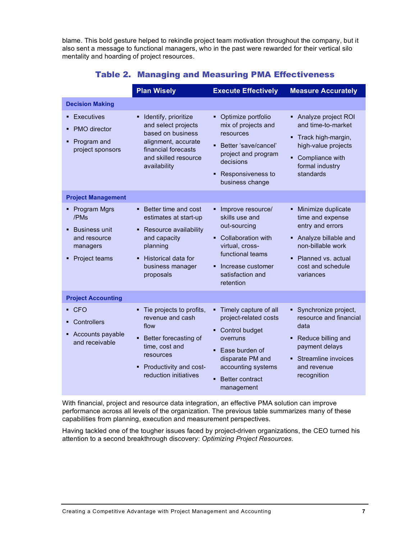blame. This bold gesture helped to rekindle project team motivation throughout the company, but it also sent a message to functional managers, who in the past were rewarded for their vertical silo mentality and hoarding of project resources.

|                                                                                                    | <b>Plan Wisely</b>                                                                                                                                                     | <b>Execute Effectively</b>                                                                                                                                                                    | <b>Measure Accurately</b>                                                                                                                                             |
|----------------------------------------------------------------------------------------------------|------------------------------------------------------------------------------------------------------------------------------------------------------------------------|-----------------------------------------------------------------------------------------------------------------------------------------------------------------------------------------------|-----------------------------------------------------------------------------------------------------------------------------------------------------------------------|
| <b>Decision Making</b>                                                                             |                                                                                                                                                                        |                                                                                                                                                                                               |                                                                                                                                                                       |
| Executives<br>٠<br><b>PMO</b> director<br>٠<br>Program and<br>٠<br>project sponsors                | Identify, prioritize<br>and select projects<br>based on business<br>alignment, accurate<br>financial forecasts<br>and skilled resource<br>availability                 | Optimize portfolio<br>٠<br>mix of projects and<br>resources<br>Better 'save/cancel'<br>×,<br>project and program<br>decisions<br>Responsiveness to<br>٠<br>business change                    | Analyze project ROI<br>and time-to-market<br>Track high-margin,<br>٠<br>high-value projects<br>Compliance with<br>×,<br>formal industry<br>standards                  |
| <b>Project Management</b>                                                                          |                                                                                                                                                                        |                                                                                                                                                                                               |                                                                                                                                                                       |
| • Program Mgrs<br>/PM <sub>s</sub><br>• Business unit<br>and resource<br>managers<br>Project teams | • Better time and cost<br>estimates at start-up<br>Resource availability<br>٠<br>and capacity<br>planning<br>Historical data for<br>business manager<br>proposals      | Improve resource/<br>Ξ<br>skills use and<br>out-sourcing<br><b>Collaboration with</b><br>Ξ<br>virtual, cross-<br>functional teams<br>Increase customer<br>Ξ<br>satisfaction and<br>retention  | • Minimize duplicate<br>time and expense<br>entry and errors<br>• Analyze billable and<br>non-billable work<br>• Planned vs. actual<br>cost and schedule<br>variances |
| <b>Project Accounting</b>                                                                          |                                                                                                                                                                        |                                                                                                                                                                                               |                                                                                                                                                                       |
| $\overline{\phantom{a}}$ CFO<br>• Controllers<br>• Accounts payable<br>and receivable              | Tie projects to profits,<br>٠<br>revenue and cash<br>flow<br>Better forecasting of<br>time, cost and<br>resources<br>• Productivity and cost-<br>reduction initiatives | Timely capture of all<br>٠<br>project-related costs<br>Control budget<br>٠<br>overruns<br>Ease burden of<br>п<br>disparate PM and<br>accounting systems<br>Better contract<br>п<br>management | • Synchronize project,<br>resource and financial<br>data<br>• Reduce billing and<br>payment delays<br>• Streamline invoices<br>and revenue<br>recognition             |

## Table 2. Managing and Measuring PMA Effectiveness

With financial, project and resource data integration, an effective PMA solution can improve performance across all levels of the organization. The previous table summarizes many of these capabilities from planning, execution and measurement perspectives.

Having tackled one of the tougher issues faced by project-driven organizations, the CEO turned his attention to a second breakthrough discovery: *Optimizing Project Resources*.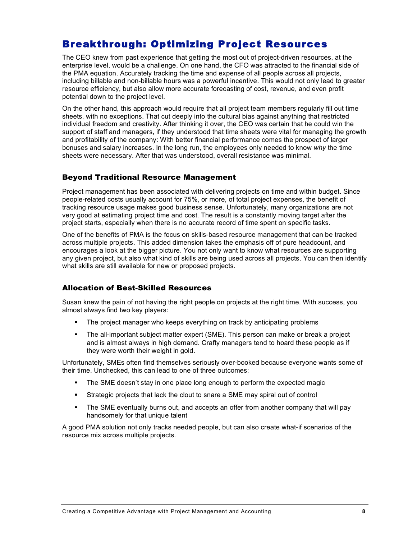## Breakthrough: Optimizing Project Resources

The CEO knew from past experience that getting the most out of project-driven resources, at the enterprise level, would be a challenge. On one hand, the CFO was attracted to the financial side of the PMA equation. Accurately tracking the time and expense of all people across all projects, including billable and non-billable hours was a powerful incentive. This would not only lead to greater resource efficiency, but also allow more accurate forecasting of cost, revenue, and even profit potential down to the project level.

On the other hand, this approach would require that all project team members regularly fill out time sheets, with no exceptions. That cut deeply into the cultural bias against anything that restricted individual freedom and creativity. After thinking it over, the CEO was certain that he could win the support of staff and managers, if they understood that time sheets were vital for managing the growth and profitability of the company: With better financial performance comes the prospect of larger bonuses and salary increases. In the long run, the employees only needed to know *why* the time sheets were necessary. After that was understood, overall resistance was minimal.

## Beyond Traditional Resource Management

Project management has been associated with delivering projects on time and within budget. Since people-related costs usually account for 75%, or more, of total project expenses, the benefit of tracking resource usage makes good business sense. Unfortunately, many organizations are not very good at estimating project time and cost. The result is a constantly moving target after the project starts, especially when there is no accurate record of time spent on specific tasks.

One of the benefits of PMA is the focus on skills-based resource management that can be tracked across multiple projects. This added dimension takes the emphasis off of pure headcount, and encourages a look at the bigger picture. You not only want to know what resources are supporting any given project, but also what kind of skills are being used across all projects. You can then identify what skills are still available for new or proposed projects.

## Allocation of Best-Skilled Resources

Susan knew the pain of not having the right people on projects at the right time. With success, you almost always find two key players:

- The project manager who keeps everything on track by anticipating problems
- The all-important subject matter expert (SME). This person can make or break a project and is almost always in high demand. Crafty managers tend to hoard these people as if they were worth their weight in gold.

Unfortunately, SMEs often find themselves seriously over-booked because everyone wants some of their time. Unchecked, this can lead to one of three outcomes:

- ß The SME doesn't stay in one place long enough to perform the expected magic
- **Strategic projects that lack the clout to snare a SME may spiral out of control**
- The SME eventually burns out, and accepts an offer from another company that will pay handsomely for that unique talent

A good PMA solution not only tracks needed people, but can also create what-if scenarios of the resource mix across multiple projects.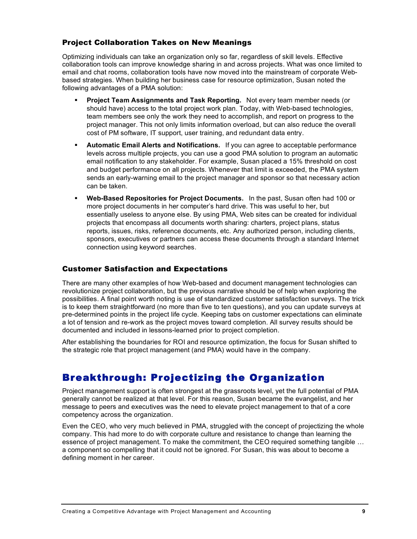## Project Collaboration Takes on New Meanings

Optimizing individuals can take an organization only so far, regardless of skill levels. Effective collaboration tools can improve knowledge sharing in and across projects. What was once limited to email and chat rooms, collaboration tools have now moved into the mainstream of corporate Webbased strategies. When building her business case for resource optimization, Susan noted the following advantages of a PMA solution:

- ß **Project Team Assignments and Task Reporting.** Not every team member needs (or should have) access to the total project work plan. Today, with Web-based technologies, team members see only the work they need to accomplish, and report on progress to the project manager. This not only limits information overload, but can also reduce the overall cost of PM software, IT support, user training, and redundant data entry.
- ß **Automatic Email Alerts and Notifications.** If you can agree to acceptable performance levels across multiple projects, you can use a good PMA solution to program an automatic email notification to any stakeholder. For example, Susan placed a 15% threshold on cost and budget performance on all projects. Whenever that limit is exceeded, the PMA system sends an early-warning email to the project manager and sponsor so that necessary action can be taken.
- ß **Web-Based Repositories for Project Documents.** In the past, Susan often had 100 or more project documents in her computer's hard drive. This was useful to her, but essentially useless to anyone else. By using PMA, Web sites can be created for individual projects that encompass all documents worth sharing: charters, project plans, status reports, issues, risks, reference documents, etc. Any authorized person, including clients, sponsors, executives or partners can access these documents through a standard Internet connection using keyword searches.

## Customer Satisfaction and Expectations

There are many other examples of how Web-based and document management technologies can revolutionize project collaboration, but the previous narrative should be of help when exploring the possibilities. A final point worth noting is use of standardized customer satisfaction surveys. The trick is to keep them straightforward (no more than five to ten questions), and you can update surveys at pre-determined points in the project life cycle. Keeping tabs on customer expectations can eliminate a lot of tension and re-work as the project moves toward completion. All survey results should be documented and included in lessons-learned prior to project completion.

After establishing the boundaries for ROI and resource optimization, the focus for Susan shifted to the strategic role that project management (and PMA) would have in the company.

## Breakthrough: Projectizing the Organization

Project management support is often strongest at the grassroots level, yet the full potential of PMA generally cannot be realized at that level. For this reason, Susan became the evangelist, and her message to peers and executives was the need to elevate project management to that of a core competency across the organization.

Even the CEO, who very much believed in PMA, struggled with the concept of projectizing the whole company. This had more to do with corporate culture and resistance to change than learning the essence of project management. To make the commitment, the CEO required something tangible … a component so compelling that it could not be ignored. For Susan, this was about to become a defining moment in her career.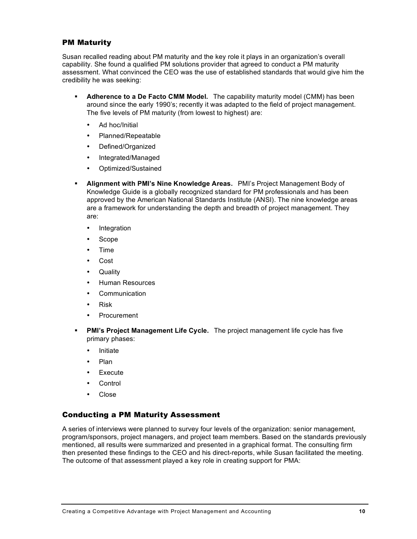### PM Maturity

Susan recalled reading about PM maturity and the key role it plays in an organization's overall capability. She found a qualified PM solutions provider that agreed to conduct a PM maturity assessment. What convinced the CEO was the use of established standards that would give him the credibility he was seeking:

ß **Adherence to a De Facto CMM Model.** The capability maturity model (CMM) has been around since the early 1990's; recently it was adapted to the field of project management. The five levels of PM maturity (from lowest to highest) are:

Ad hoc/Initial Planned/Repeatable Defined/Organized Integrated/Managed Optimized/Sustained

- ß **Alignment with PMI's Nine Knowledge Areas.** PMI's Project Management Body of Knowledge Guide is a globally recognized standard for PM professionals and has been approved by the American National Standards Institute (ANSI). The nine knowledge areas are a framework for understanding the depth and breadth of project management. They are:
	- Integration Scope Time Cost **Quality** Human Resources **Communication** Risk Procurement
- ß **PMI's Project Management Life Cycle.** The project management life cycle has five primary phases: Initiate

Plan Execute **Control** Close

## Conducting a PM Maturity Assessment

A series of interviews were planned to survey four levels of the organization: senior management, program/sponsors, project managers, and project team members. Based on the standards previously mentioned, all results were summarized and presented in a graphical format. The consulting firm then presented these findings to the CEO and his direct-reports, while Susan facilitated the meeting. The outcome of that assessment played a key role in creating support for PMA: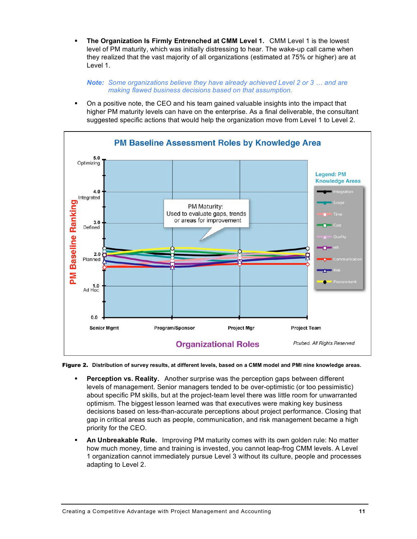ß **The Organization Is Firmly Entrenched at CMM Level 1.** CMM Level 1 is the lowest level of PM maturity, which was initially distressing to hear. The wake-up call came when they realized that the vast majority of all organizations (estimated at 75% or higher) are at Level 1.

*Note: Some organizations believe they have already achieved Level 2 or 3 … and are making flawed business decisions based on that assumption.*

ß On a positive note, the CEO and his team gained valuable insights into the impact that higher PM maturity levels can have on the enterprise. As a final deliverable, the consultant suggested specific actions that would help the organization move from Level 1 to Level 2.



Figure 2. Distribution of survey results, at different levels, based on a CMM model and PMI nine knowledge areas.

- **Perception vs. Reality.** Another surprise was the perception gaps between different levels of management. Senior managers tended to be over-optimistic (or too pessimistic) about specific PM skills, but at the project-team level there was little room for unwarranted optimism. The biggest lesson learned was that executives were making key business decisions based on less-than-accurate perceptions about project performance. Closing that gap in critical areas such as people, communication, and risk management became a high priority for the CEO.
- ß **An Unbreakable Rule.** Improving PM maturity comes with its own golden rule: No matter how much money, time and training is invested, you cannot leap-frog CMM levels. A Level 1 organization cannot immediately pursue Level 3 without its culture, people and processes adapting to Level 2.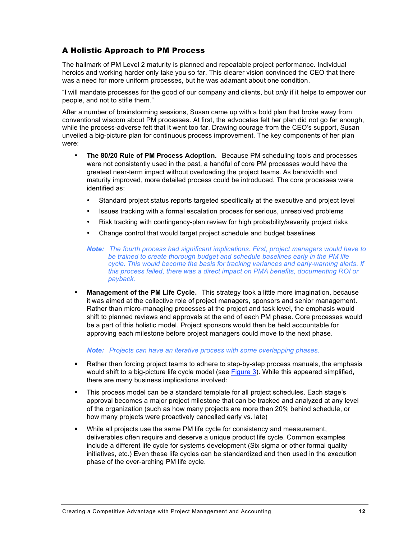## A Holistic Approach to PM Process

The hallmark of PM Level 2 maturity is planned and repeatable project performance. Individual heroics and working harder only take you so far. This clearer vision convinced the CEO that there was a need for more uniform processes, but he was adamant about one condition,

"I will mandate processes for the good of our company and clients, but *only* if it helps to empower our people, and not to stifle them."

After a number of brainstorming sessions, Susan came up with a bold plan that broke away from conventional wisdom about PM processes. At first, the advocates felt her plan did not go far enough, while the process-adverse felt that it went too far. Drawing courage from the CEO's support, Susan unveiled a big-picture plan for continuous process improvement. The key components of her plan were:

ß **The 80/20 Rule of PM Process Adoption.** Because PM scheduling tools and processes were not consistently used in the past, a handful of core PM processes would have the greatest near-term impact without overloading the project teams. As bandwidth and maturity improved, more detailed process could be introduced. The core processes were identified as:

Standard project status reports targeted specifically at the executive and project level

Issues tracking with a formal escalation process for serious, unresolved problems

Risk tracking with contingency-plan review for high probability/severity project risks

Change control that would target project schedule and budget baselines

- *Note: The fourth process had significant implications. First, project managers would have to be trained to create thorough budget and schedule baselines early in the PM life cycle. This would become the basis for tracking variances and early-warning alerts. If this process failed, there was a direct impact on PMA benefits, documenting ROI or payback.*
- ß **Management of the PM Life Cycle.** This strategy took a little more imagination, because it was aimed at the collective role of project managers, sponsors and senior management. Rather than micro-managing processes at the project and task level, the emphasis would shift to planned reviews and approvals at the end of each PM phase. Core processes would be a part of this holistic model. Project sponsors would then be held accountable for approving each milestone before project managers could move to the next phase.

*Note: Projects can have an iterative process with some overlapping phases.*

- **Rather than forcing project teams to adhere to step-by-step process manuals, the emphasis** would shift to a big-picture life cycle model (see Figure 3). While this appeared simplified, there are many business implications involved:
- This process model can be a standard template for all project schedules. Each stage's approval becomes a major project milestone that can be tracked and analyzed at any level of the organization (such as how many projects are more than 20% behind schedule, or how many projects were proactively cancelled early vs. late)
- **While all projects use the same PM life cycle for consistency and measurement,** deliverables often require and deserve a unique product life cycle. Common examples include a different life cycle for systems development (Six sigma or other formal quality initiatives, etc.) Even these life cycles can be standardized and then used in the execution phase of the over-arching PM life cycle.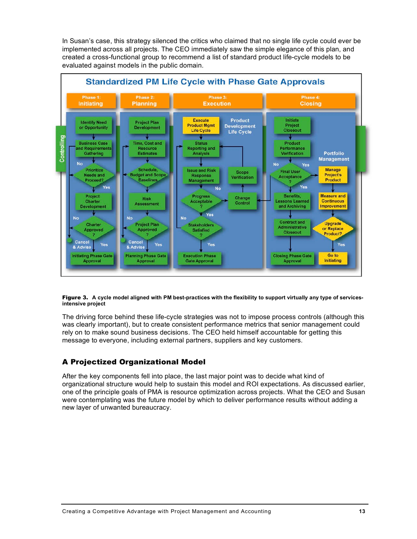In Susan's case, this strategy silenced the critics who claimed that no single life cycle could ever be implemented across all projects. The CEO immediately saw the simple elegance of this plan, and created a cross-functional group to recommend a list of standard product life-cycle models to be evaluated against models in the public domain.



#### Figure 3. A cycle model aligned with PM best-practices with the flexibility to support virtually any type of services**intensive project**

The driving force behind these life-cycle strategies was not to impose process controls (although this was clearly important), but to create consistent performance metrics that senior management could rely on to make sound business decisions. The CEO held himself accountable for getting this message to everyone, including external partners, suppliers and key customers.

## A Projectized Organizational Model

After the key components fell into place, the last major point was to decide what kind of organizational structure would help to sustain this model and ROI expectations. As discussed earlier, one of the principle goals of PMA is resource optimization across projects. What the CEO and Susan were contemplating was the future model by which to deliver performance results without adding a new layer of unwanted bureaucracy.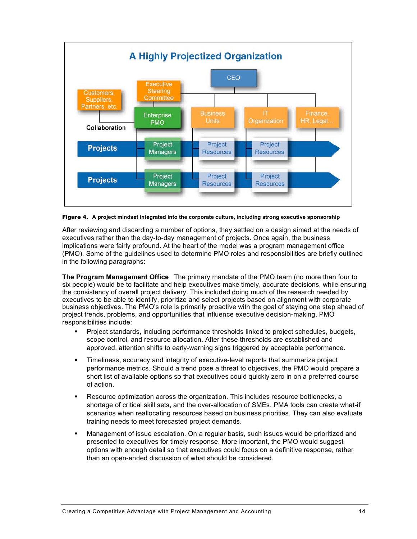

Figure 4. **A project mindset integrated into the corporate culture, including strong executive sponsorship**

After reviewing and discarding a number of options, they settled on a design aimed at the needs of executives rather than the day-to-day management of projects. Once again, the business implications were fairly profound. At the heart of the model was a program management office (PMO). Some of the guidelines used to determine PMO roles and responsibilities are briefly outlined in the following paragraphs:

**The Program Management Office** The primary mandate of the PMO team (no more than four to six people) would be to facilitate and help executives make timely, accurate decisions, while ensuring the consistency of overall project delivery. This included doing much of the research needed by executives to be able to identify, prioritize and select projects based on alignment with corporate business objectives. The PMO's role is primarily proactive with the goal of staying one step ahead of project trends, problems, and opportunities that influence executive decision-making. PMO responsibilities include:

- ß Project standards, including performance thresholds linked to project schedules, budgets, scope control, and resource allocation. After these thresholds are established and approved, attention shifts to early-warning signs triggered by acceptable performance.
- **Fimeliness, accuracy and integrity of executive-level reports that summarize project** performance metrics. Should a trend pose a threat to objectives, the PMO would prepare a short list of available options so that executives could quickly zero in on a preferred course of action.
- **Resource optimization across the organization. This includes resource bottlenecks, a** shortage of critical skill sets, and the over-allocation of SMEs. PMA tools can create what-if scenarios when reallocating resources based on business priorities. They can also evaluate training needs to meet forecasted project demands.
- ß Management of issue escalation. On a regular basis, such issues would be prioritized and presented to executives for timely response. More important, the PMO would suggest options with enough detail so that executives could focus on a definitive response, rather than an open-ended discussion of what should be considered.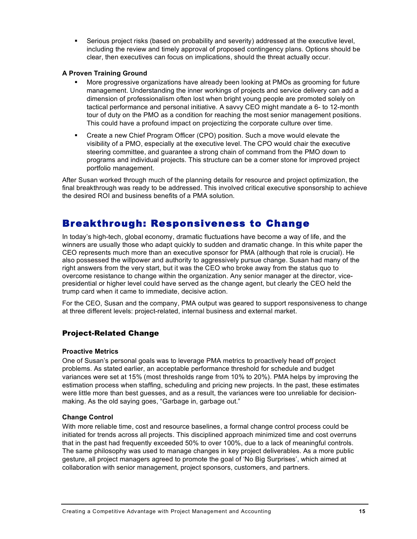**Serious project risks (based on probability and severity) addressed at the executive level,** including the review and timely approval of proposed contingency plans. Options should be clear, then executives can focus on implications, should the threat actually occur.

### **A Proven Training Ground**

- ß More progressive organizations have already been looking at PMOs as grooming for future management. Understanding the inner workings of projects and service delivery can add a dimension of professionalism often lost when bright young people are promoted solely on tactical performance and personal initiative. A savvy CEO might mandate a 6- to 12-month tour of duty on the PMO as a condition for reaching the most senior management positions. This could have a profound impact on projectizing the corporate culture over time.
- Create a new Chief Program Officer (CPO) position. Such a move would elevate the visibility of a PMO, especially at the executive level. The CPO would chair the executive steering committee, and guarantee a strong chain of command from the PMO down to programs and individual projects. This structure can be a corner stone for improved project portfolio management.

After Susan worked through much of the planning details for resource and project optimization, the final breakthrough was ready to be addressed. This involved critical executive sponsorship to achieve the desired ROI and business benefits of a PMA solution.

## Breakthrough: Responsiveness to Change

In today's high-tech, global economy, dramatic fluctuations have become a way of life, and the winners are usually those who adapt quickly to sudden and dramatic change. In this white paper the CEO represents much more than an executive sponsor for PMA (although that role is crucial). He also possessed the willpower and authority to aggressively pursue change. Susan had many of the right answers from the very start, but it was the CEO who broke away from the status quo to overcome resistance to change within the organization. Any senior manager at the director, vicepresidential or higher level could have served as the change agent, but clearly the CEO held the trump card when it came to immediate, decisive action.

For the CEO, Susan and the company, PMA output was geared to support responsiveness to change at three different levels: project-related, internal business and external market.

## Project-Related Change

### **Proactive Metrics**

One of Susan's personal goals was to leverage PMA metrics to proactively head off project problems. As stated earlier, an acceptable performance threshold for schedule and budget variances were set at 15% (most thresholds range from 10% to 20%). PMA helps by improving the estimation process when staffing, scheduling and pricing new projects. In the past, these estimates were little more than best guesses, and as a result, the variances were too unreliable for decisionmaking. As the old saying goes, "Garbage in, garbage out."

### **Change Control**

With more reliable time, cost and resource baselines, a formal change control process could be initiated for trends across all projects. This disciplined approach minimized time and cost overruns that in the past had frequently exceeded 50% to over 100%, due to a lack of meaningful controls. The same philosophy was used to manage changes in key project deliverables. As a more public gesture, all project managers agreed to promote the goal of 'No Big Surprises', which aimed at collaboration with senior management, project sponsors, customers, and partners.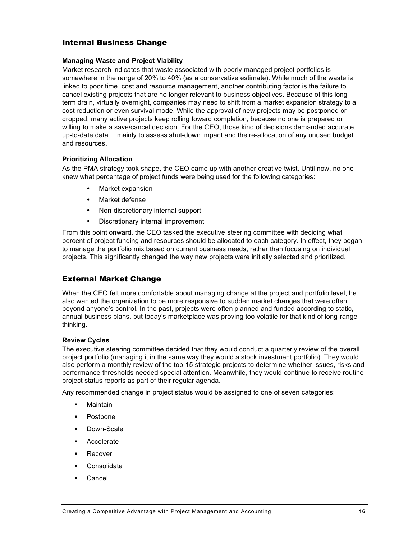## Internal Business Change

### **Managing Waste and Project Viability**

Market research indicates that waste associated with poorly managed project portfolios is somewhere in the range of 20% to 40% (as a conservative estimate). While much of the waste is linked to poor time, cost and resource management, another contributing factor is the failure to cancel existing projects that are no longer relevant to business objectives. Because of this longterm drain, virtually overnight, companies may need to shift from a market expansion strategy to a cost reduction or even survival mode. While the approval of new projects may be postponed or dropped, many active projects keep rolling toward completion, because no one is prepared or willing to make a save/cancel decision. For the CEO, those kind of decisions demanded accurate, up-to-date data… mainly to assess shut-down impact and the re-allocation of any unused budget and resources.

### **Prioritizing Allocation**

As the PMA strategy took shape, the CEO came up with another creative twist. Until now, no one knew what percentage of project funds were being used for the following categories:

- Market expansion
- Market defense
- Non-discretionary internal support
- Discretionary internal improvement

From this point onward, the CEO tasked the executive steering committee with deciding what percent of project funding and resources should be allocated to each category. In effect, they began to manage the portfolio mix based on current business needs, rather than focusing on individual projects. This significantly changed the way new projects were initially selected and prioritized.

## External Market Change

When the CEO felt more comfortable about managing change at the project and portfolio level, he also wanted the organization to be more responsive to sudden market changes that were often beyond anyone's control. In the past, projects were often planned and funded according to static, annual business plans, but today's marketplace was proving too volatile for that kind of long-range thinking.

### **Review Cycles**

The executive steering committee decided that they would conduct a quarterly review of the overall project portfolio (managing it in the same way they would a stock investment portfolio). They would also perform a monthly review of the top-15 strategic projects to determine whether issues, risks and performance thresholds needed special attention. Meanwhile, they would continue to receive routine project status reports as part of their regular agenda.

Any recommended change in project status would be assigned to one of seven categories:

- **Maintain**
- Postpone
- Down-Scale
- **B** Accelerate
- **B** Recover
- **Consolidate**
- ß Cancel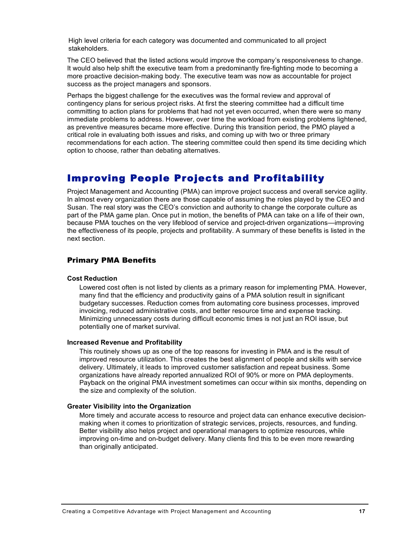High level criteria for each category was documented and communicated to all project stakeholders.

The CEO believed that the listed actions would improve the company's responsiveness to change. It would also help shift the executive team from a predominantly fire-fighting mode to becoming a more proactive decision-making body. The executive team was now as accountable for project success as the project managers and sponsors.

Perhaps the biggest challenge for the executives was the formal review and approval of contingency plans for serious project risks. At first the steering committee had a difficult time committing to action plans for problems that had not yet even occurred, when there were so many immediate problems to address. However, over time the workload from existing problems lightened, as preventive measures became more effective. During this transition period, the PMO played a critical role in evaluating both issues and risks, and coming up with two or three primary recommendations for each action. The steering committee could then spend its time deciding which option to choose, rather than debating alternatives.

## Improving People Projects and Profitability

Project Management and Accounting (PMA) can improve project success and overall service agility. In almost every organization there are those capable of assuming the roles played by the CEO and Susan. The real story was the CEO's conviction and authority to change the corporate culture as part of the PMA game plan. Once put in motion, the benefits of PMA can take on a life of their own, because PMA touches on the very lifeblood of service and project-driven organizations—improving the effectiveness of its people, projects and profitability. A summary of these benefits is listed in the next section.

## Primary PMA Benefits

### **Cost Reduction**

Lowered cost often is not listed by clients as a primary reason for implementing PMA. However, many find that the efficiency and productivity gains of a PMA solution result in significant budgetary successes. Reduction comes from automating core business processes, improved invoicing, reduced administrative costs, and better resource time and expense tracking. Minimizing unnecessary costs during difficult economic times is not just an ROI issue, but potentially one of market survival.

#### **Increased Revenue and Profitability**

This routinely shows up as one of the top reasons for investing in PMA and is the result of improved resource utilization. This creates the best alignment of people and skills with service delivery. Ultimately, it leads to improved customer satisfaction and repeat business. Some organizations have already reported annualized ROI of 90% or more on PMA deployments. Payback on the original PMA investment sometimes can occur within six months, depending on the size and complexity of the solution.

### **Greater Visibility into the Organization**

More timely and accurate access to resource and project data can enhance executive decisionmaking when it comes to prioritization of strategic services, projects, resources, and funding. Better visibility also helps project and operational managers to optimize resources, while improving on-time and on-budget delivery. Many clients find this to be even more rewarding than originally anticipated.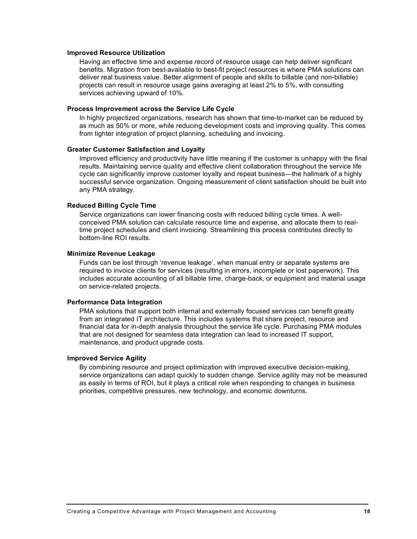#### **Improved Resource Utilization**

Having an effective time and expense record of resource usage can help deliver significant benefits. Migration from best-available to best-fit project resources is where PMA solutions can deliver real business value. Better alignment of people and skills to billable (and non-billable) projects can result in resource usage gains averaging at least 2% to 5%, with consulting services achieving upward of 10%.

#### **Process Improvement across the Service Life Cycle**

In highly projectized organizations, research has shown that time-to-market can be reduced by as much as 50% or more, while reducing development costs and improving quality. This comes from tighter integration of project planning, scheduling and invoicing.

#### **Greater Customer Satisfaction and Loyalty**

Improved efficiency and productivity have little meaning if the customer is unhappy with the final results. Maintaining service quality and effective client collaboration throughout the service life cycle can significantly improve customer loyalty and repeat business—the hallmark of a highly successful service organization. Ongoing measurement of client satisfaction should be built into any PMA strategy.

### **Reduced Billing Cycle Time**

Service organizations can lower financing costs with reduced billing cycle times. A wellconceived PMA solution can calculate resource time and expense, and allocate them to realtime project schedules and client invoicing. Streamlining this process contributes directly to bottom-line ROI results.

#### **Minimize Revenue Leakage**

Funds can be lost through 'revenue leakage', when manual entry or separate systems are required to invoice clients for services (resulting in errors, incomplete or lost paperwork). This includes accurate accounting of all billable time, charge-back, or equipment and material usage on service-related projects.

### **Performance Data Integration**

PMA solutions that support both internal and externally focused services can benefit greatly from an integrated IT architecture. This includes systems that share project, resource and financial data for in-depth analysis throughout the service life cycle. Purchasing PMA modules that are not designed for seamless data integration can lead to increased IT support, maintenance, and product upgrade costs.

#### **Improved Service Agility**

By combining resource and project optimization with improved executive decision-making, service organizations can adapt quickly to sudden change. Service agility may not be measured as easily in terms of ROI, but it plays a critical role when responding to changes in business priorities, competitive pressures, new technology, and economic downturns.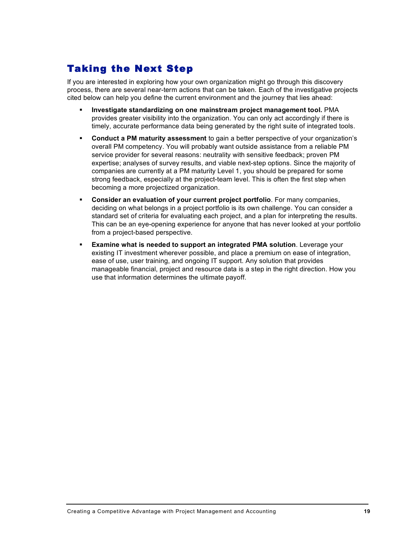# Taking the Next Step

If you are interested in exploring how your own organization might go through this discovery process, there are several near-term actions that can be taken. Each of the investigative projects cited below can help you define the current environment and the journey that lies ahead:

- ß **Investigate standardizing on one mainstream project management tool.** PMA provides greater visibility into the organization. You can only act accordingly if there is timely, accurate performance data being generated by the right suite of integrated tools.
- ß **Conduct a PM maturity assessment** to gain a better perspective of your organization's overall PM competency. You will probably want outside assistance from a reliable PM service provider for several reasons: neutrality with sensitive feedback; proven PM expertise; analyses of survey results, and viable next-step options. Since the majority of companies are currently at a PM maturity Level 1, you should be prepared for some strong feedback, especially at the project-team level. This is often the first step when becoming a more projectized organization.
- ß **Consider an evaluation of your current project portfolio**. For many companies, deciding on what belongs in a project portfolio is its own challenge. You can consider a standard set of criteria for evaluating each project, and a plan for interpreting the results. This can be an eye-opening experience for anyone that has never looked at your portfolio from a project-based perspective.
- ß **Examine what is needed to support an integrated PMA solution**. Leverage your existing IT investment wherever possible, and place a premium on ease of integration, ease of use, user training, and ongoing IT support. Any solution that provides manageable financial, project and resource data is a step in the right direction. How you use that information determines the ultimate payoff.